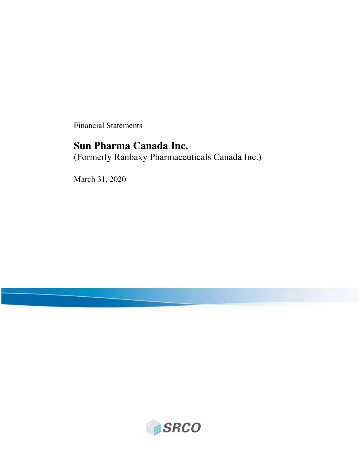Financial Statements

# **Sun Pharma Canada Inc.**

(Formerly Ranbaxy Pharmaceuticals Canada Inc.)

March 31, 2020

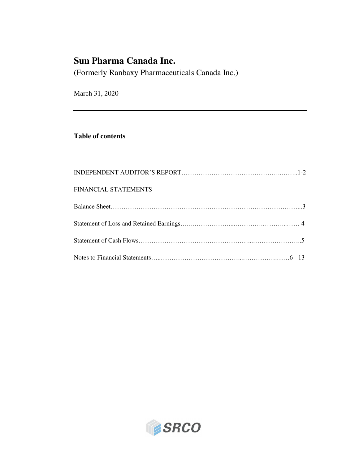# **Sun Pharma Canada Inc.**

(Formerly Ranbaxy Pharmaceuticals Canada Inc.)

March 31, 2020

### **Table of contents**

| FINANCIAL STATEMENTS |  |
|----------------------|--|
|                      |  |
|                      |  |
|                      |  |
|                      |  |

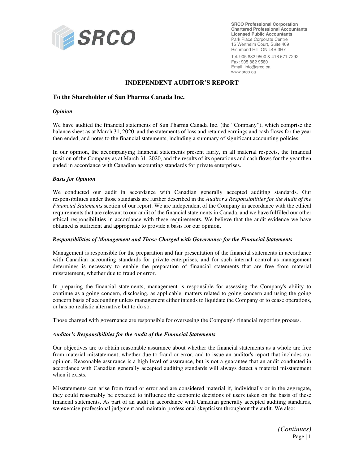

**SRCO Professional Corporation Chartered Professional Accountants Licensed Public Accountants**  Park Place Corporate Centre 15 Wertheim Court, Suite 409 Richmond Hill, ON L4B 3H7

Tel: 905 882 9500 & 416 671 7292 Fax: 905 882 9580 Email: info@srco.ca www.srco.ca

#### **INDEPENDENT AUDITOR'S REPORT**

#### **To the Shareholder of Sun Pharma Canada Inc.**

#### *Opinion*

We have audited the financial statements of Sun Pharma Canada Inc. (the "Company"), which comprise the balance sheet as at March 31, 2020, and the statements of loss and retained earnings and cash flows for the year then ended, and notes to the financial statements, including a summary of significant accounting policies.

In our opinion, the accompanying financial statements present fairly, in all material respects, the financial position of the Company as at March 31, 2020, and the results of its operations and cash flows for the year then ended in accordance with Canadian accounting standards for private enterprises.

#### *Basis for Opinion*

We conducted our audit in accordance with Canadian generally accepted auditing standards. Our responsibilities under those standards are further described in the *Auditor's Responsibilities for the Audit of the Financial Statements* section of our report. We are independent of the Company in accordance with the ethical requirements that are relevant to our audit of the financial statements in Canada, and we have fulfilled our other ethical responsibilities in accordance with these requirements. We believe that the audit evidence we have obtained is sufficient and appropriate to provide a basis for our opinion.

#### *Responsibilities of Management and Those Charged with Governance for the Financial Statements*

Management is responsible for the preparation and fair presentation of the financial statements in accordance with Canadian accounting standards for private enterprises, and for such internal control as management determines is necessary to enable the preparation of financial statements that are free from material misstatement, whether due to fraud or error.

In preparing the financial statements, management is responsible for assessing the Company's ability to continue as a going concern, disclosing, as applicable, matters related to going concern and using the going concern basis of accounting unless management either intends to liquidate the Company or to cease operations, or has no realistic alternative but to do so.

Those charged with governance are responsible for overseeing the Company's financial reporting process.

#### *Auditor's Responsibilities for the Audit of the Financial Statements*

Our objectives are to obtain reasonable assurance about whether the financial statements as a whole are free from material misstatement, whether due to fraud or error, and to issue an auditor's report that includes our opinion. Reasonable assurance is a high level of assurance, but is not a guarantee that an audit conducted in accordance with Canadian generally accepted auditing standards will always detect a material misstatement when it exists.

Misstatements can arise from fraud or error and are considered material if, individually or in the aggregate, they could reasonably be expected to influence the economic decisions of users taken on the basis of these financial statements. As part of an audit in accordance with Canadian generally accepted auditing standards, we exercise professional judgment and maintain professional skepticism throughout the audit. We also:

*(Continues)*  Page | 1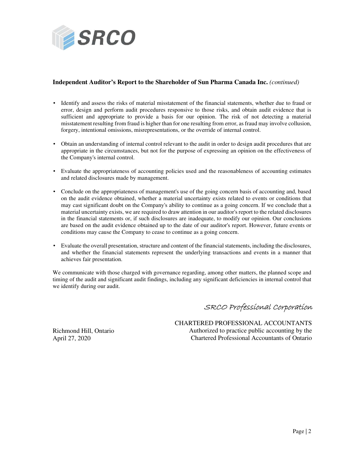

#### **Independent Auditor's Report to the Shareholder of Sun Pharma Canada Inc.** *(continued)*

- Identify and assess the risks of material misstatement of the financial statements, whether due to fraud or error, design and perform audit procedures responsive to those risks, and obtain audit evidence that is sufficient and appropriate to provide a basis for our opinion. The risk of not detecting a material misstatement resulting from fraud is higher than for one resulting from error, as fraud may involve collusion, forgery, intentional omissions, misrepresentations, or the override of internal control.
- Obtain an understanding of internal control relevant to the audit in order to design audit procedures that are appropriate in the circumstances, but not for the purpose of expressing an opinion on the effectiveness of the Company's internal control.
- Evaluate the appropriateness of accounting policies used and the reasonableness of accounting estimates and related disclosures made by management.
- Conclude on the appropriateness of management's use of the going concern basis of accounting and, based on the audit evidence obtained, whether a material uncertainty exists related to events or conditions that may cast significant doubt on the Company's ability to continue as a going concern. If we conclude that a material uncertainty exists, we are required to draw attention in our auditor's report to the related disclosures in the financial statements or, if such disclosures are inadequate, to modify our opinion. Our conclusions are based on the audit evidence obtained up to the date of our auditor's report. However, future events or conditions may cause the Company to cease to continue as a going concern.
- Evaluate the overall presentation, structure and content of the financial statements, including the disclosures, and whether the financial statements represent the underlying transactions and events in a manner that achieves fair presentation.

We communicate with those charged with governance regarding, among other matters, the planned scope and timing of the audit and significant audit findings, including any significant deficiencies in internal control that we identify during our audit.

### SRCO Professional Corporation

 CHARTERED PROFESSIONAL ACCOUNTANTS Authorized to practice public accounting by the Chartered Professional Accountants of Ontario

Richmond Hill, Ontario April 27, 2020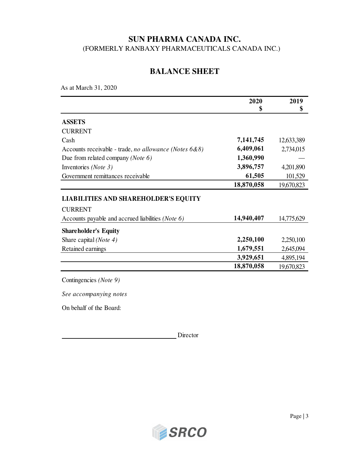## **BALANCE SHEET**

As at March 31, 2020

|                                                               | 2020<br>\$ | 2019<br>\$ |
|---------------------------------------------------------------|------------|------------|
| <b>ASSETS</b>                                                 |            |            |
| <b>CURRENT</b>                                                |            |            |
| Cash                                                          | 7,141,745  | 12,633,389 |
| Accounts receivable - trade, no allowance (Notes $6&8$ )      | 6,409,061  | 2,734,015  |
| Due from related company ( <i>Note 6</i> )                    | 1,360,990  |            |
| Inventories (Note 3)                                          | 3,896,757  | 4,201,890  |
| Government remittances receivable                             | 61,505     | 101,529    |
|                                                               | 18,870,058 | 19,670,823 |
| <b>LIABILITIES AND SHAREHOLDER'S EQUITY</b><br><b>CURRENT</b> |            |            |
| Accounts payable and accrued liabilities (Note 6)             | 14,940,407 | 14,775,629 |
| <b>Shareholder's Equity</b>                                   |            |            |
| Share capital ( <i>Note 4</i> )                               | 2,250,100  | 2,250,100  |
| Retained earnings                                             | 1,679,551  | 2,645,094  |
|                                                               | 3,929,651  | 4,895,194  |
|                                                               | 18,870,058 | 19,670,823 |

Contingencies *(Note 9)*

*See accompanying notes*

On behalf of the Board:

Director

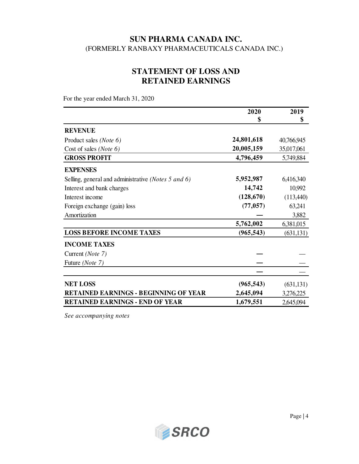## **STATEMENT OF LOSS AND RETAINED EARNINGS**

For the year ended March 31, 2020

|                                                     | 2020       | 2019       |
|-----------------------------------------------------|------------|------------|
|                                                     | \$         | \$         |
| <b>REVENUE</b>                                      |            |            |
| Product sales (Note 6)                              | 24,801,618 | 40,766,945 |
| Cost of sales (Note 6)                              | 20,005,159 | 35,017,061 |
| <b>GROSS PROFIT</b>                                 | 4,796,459  | 5,749,884  |
| <b>EXPENSES</b>                                     |            |            |
| Selling, general and administrative (Notes 5 and 6) | 5,952,987  | 6,416,340  |
| Interest and bank charges                           | 14,742     | 10,992     |
| Interest income                                     | (128, 670) | (113,440)  |
| Foreign exchange (gain) loss                        | (77, 057)  | 63,241     |
| Amortization                                        |            | 3,882      |
|                                                     | 5,762,002  | 6,381,015  |
| <b>LOSS BEFORE INCOME TAXES</b>                     | (965, 543) | (631, 131) |
| <b>INCOME TAXES</b>                                 |            |            |
| Current ( <i>Note</i> 7)                            |            |            |
| Future (Note 7)                                     |            |            |
|                                                     |            |            |
| <b>NET LOSS</b>                                     | (965, 543) | (631, 131) |
| <b>RETAINED EARNINGS - BEGINNING OF YEAR</b>        | 2,645,094  | 3,276,225  |
| <b>RETAINED EARNINGS - END OF YEAR</b>              | 1,679,551  | 2,645,094  |

*See accompanying notes*

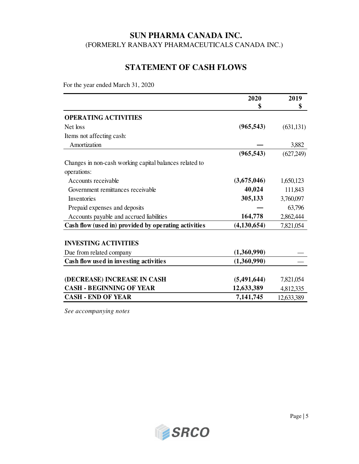## **STATEMENT OF CASH FLOWS**

For the year ended March 31, 2020

|                                                         | 2020<br>\$    | 2019<br>\$ |
|---------------------------------------------------------|---------------|------------|
| <b>OPERATING ACTIVITIES</b>                             |               |            |
| Net loss                                                | (965, 543)    | (631, 131) |
| Items not affecting cash:                               |               |            |
| Amortization                                            |               | 3,882      |
|                                                         | (965, 543)    | (627,249)  |
| Changes in non-cash working capital balances related to |               |            |
| operations:                                             |               |            |
| Accounts receivable                                     | (3,675,046)   | 1,650,123  |
| Government remittances receivable                       | 40,024        | 111,843    |
| Inventories                                             | 305,133       | 3,760,097  |
| Prepaid expenses and deposits                           |               | 63,796     |
| Accounts payable and accrued liabilities                | 164,778       | 2,862,444  |
| Cash flow (used in) provided by operating activities    | (4, 130, 654) | 7,821,054  |
| <b>INVESTING ACTIVITIES</b>                             |               |            |
| Due from related company                                | (1,360,990)   |            |
| Cash flow used in investing activities                  | (1,360,990)   |            |
| (DECREASE) INCREASE IN CASH                             | (5, 491, 644) | 7,821,054  |
| <b>CASH - BEGINNING OF YEAR</b>                         | 12,633,389    | 4,812,335  |
| <b>CASH - END OF YEAR</b>                               | 7,141,745     | 12,633,389 |

*See accompanying notes*

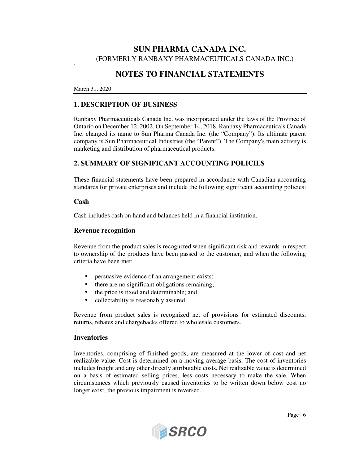## **NOTES TO FINANCIAL STATEMENTS**

#### March 31, 2020

`

### **1. DESCRIPTION OF BUSINESS**

Ranbaxy Pharmaceuticals Canada Inc. was incorporated under the laws of the Province of Ontario on December 12, 2002. On September 14, 2018, Ranbaxy Pharmaceuticals Canada Inc. changed its name to Sun Pharma Canada Inc. (the "Company"). Its ultimate parent company is Sun Pharmaceutical Industries (the "Parent"). The Company's main activity is marketing and distribution of pharmaceutical products.

### **2. SUMMARY OF SIGNIFICANT ACCOUNTING POLICIES**

These financial statements have been prepared in accordance with Canadian accounting standards for private enterprises and include the following significant accounting policies:

#### **Cash**

Cash includes cash on hand and balances held in a financial institution.

#### **Revenue recognition**

Revenue from the product sales is recognized when significant risk and rewards in respect to ownership of the products have been passed to the customer, and when the following criteria have been met:

- persuasive evidence of an arrangement exists;
- there are no significant obligations remaining;
- the price is fixed and determinable; and
- collectability is reasonably assured

Revenue from product sales is recognized net of provisions for estimated discounts, returns, rebates and chargebacks offered to wholesale customers.

#### **Inventories**

Inventories, comprising of finished goods, are measured at the lower of cost and net realizable value. Cost is determined on a moving average basis. The cost of inventories includes freight and any other directly attributable costs. Net realizable value is determined on a basis of estimated selling prices, less costs necessary to make the sale. When circumstances which previously caused inventories to be written down below cost no longer exist, the previous impairment is reversed.

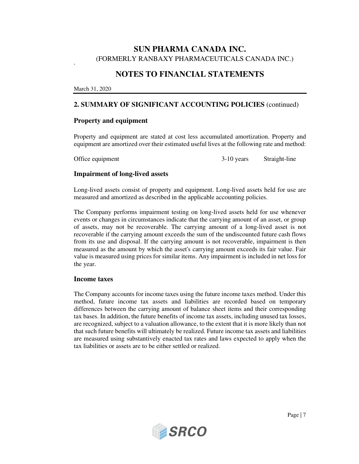### **NOTES TO FINANCIAL STATEMENTS**

March 31, 2020

`

### **2. SUMMARY OF SIGNIFICANT ACCOUNTING POLICIES** (continued)

#### **Property and equipment**

Property and equipment are stated at cost less accumulated amortization. Property and equipment are amortized over their estimated useful lives at the following rate and method:

Office equipment 3-10 years Straight-line

#### **Impairment of long-lived assets**

Long-lived assets consist of property and equipment. Long-lived assets held for use are measured and amortized as described in the applicable accounting policies.

The Company performs impairment testing on long-lived assets held for use whenever events or changes in circumstances indicate that the carrying amount of an asset, or group of assets, may not be recoverable. The carrying amount of a long-lived asset is not recoverable if the carrying amount exceeds the sum of the undiscounted future cash flows from its use and disposal. If the carrying amount is not recoverable, impairment is then measured as the amount by which the asset's carrying amount exceeds its fair value. Fair value is measured using prices for similar items. Any impairment is included in net loss for the year.

#### **Income taxes**

The Company accounts for income taxes using the future income taxes method. Under this method, future income tax assets and liabilities are recorded based on temporary differences between the carrying amount of balance sheet items and their corresponding tax bases. In addition, the future benefits of income tax assets, including unused tax losses, are recognized, subject to a valuation allowance, to the extent that it is more likely than not that such future benefits will ultimately be realized. Future income tax assets and liabilities are measured using substantively enacted tax rates and laws expected to apply when the tax liabilities or assets are to be either settled or realized.

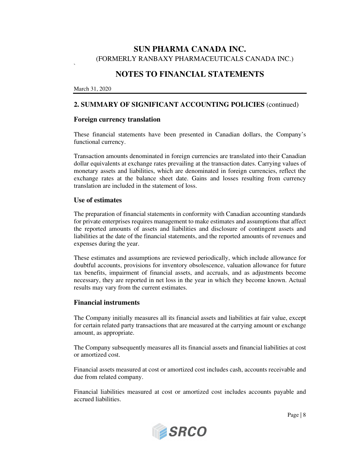## **NOTES TO FINANCIAL STATEMENTS**

March 31, 2020

`

### **2. SUMMARY OF SIGNIFICANT ACCOUNTING POLICIES** (continued)

#### **Foreign currency translation**

These financial statements have been presented in Canadian dollars, the Company's functional currency.

Transaction amounts denominated in foreign currencies are translated into their Canadian dollar equivalents at exchange rates prevailing at the transaction dates. Carrying values of monetary assets and liabilities, which are denominated in foreign currencies, reflect the exchange rates at the balance sheet date. Gains and losses resulting from currency translation are included in the statement of loss.

#### **Use of estimates**

The preparation of financial statements in conformity with Canadian accounting standards for private enterprises requires management to make estimates and assumptions that affect the reported amounts of assets and liabilities and disclosure of contingent assets and liabilities at the date of the financial statements, and the reported amounts of revenues and expenses during the year.

These estimates and assumptions are reviewed periodically, which include allowance for doubtful accounts, provisions for inventory obsolescence, valuation allowance for future tax benefits, impairment of financial assets, and accruals, and as adjustments become necessary, they are reported in net loss in the year in which they become known. Actual results may vary from the current estimates.

#### **Financial instruments**

The Company initially measures all its financial assets and liabilities at fair value, except for certain related party transactions that are measured at the carrying amount or exchange amount, as appropriate.

The Company subsequently measures all its financial assets and financial liabilities at cost or amortized cost.

Financial assets measured at cost or amortized cost includes cash, accounts receivable and due from related company.

Financial liabilities measured at cost or amortized cost includes accounts payable and accrued liabilities.



Page | 8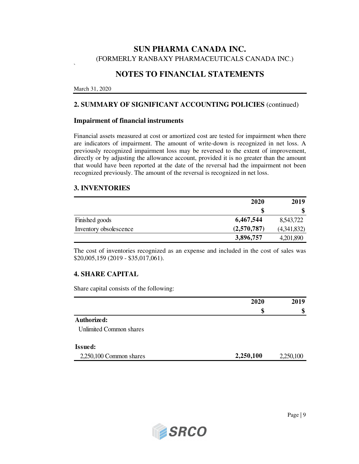## **NOTES TO FINANCIAL STATEMENTS**

March 31, 2020

`

### **2. SUMMARY OF SIGNIFICANT ACCOUNTING POLICIES** (continued)

#### **Impairment of financial instruments**

Financial assets measured at cost or amortized cost are tested for impairment when there are indicators of impairment. The amount of write-down is recognized in net loss. A previously recognized impairment loss may be reversed to the extent of improvement, directly or by adjusting the allowance account, provided it is no greater than the amount that would have been reported at the date of the reversal had the impairment not been recognized previously. The amount of the reversal is recognized in net loss.

#### **3. INVENTORIES**

|                        | 2020        | 2019        |
|------------------------|-------------|-------------|
|                        | \$          | \$          |
| Finished goods         | 6,467,544   | 8,543,722   |
| Inventory obsolescence | (2,570,787) | (4,341,832) |
|                        | 3,896,757   | 4,201,890   |

The cost of inventories recognized as an expense and included in the cost of sales was \$20,005,159 (2019 - \$35,017,061).

#### **4. SHARE CAPITAL**

Share capital consists of the following:

|                           | 2020<br>\$ | 2019<br>\$ |
|---------------------------|------------|------------|
|                           |            |            |
| Authorized:               |            |            |
| Unlimited Common shares   |            |            |
| <b>Issued:</b>            |            |            |
| $2,250,100$ Common shares | 2,250,100  | 2,250,100  |

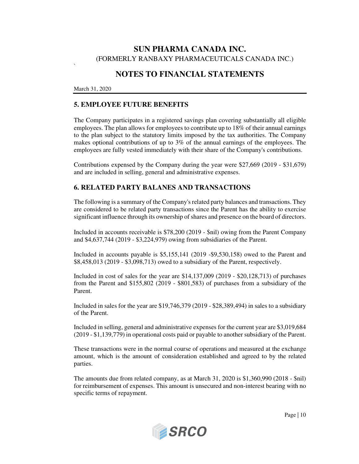## **NOTES TO FINANCIAL STATEMENTS**

March 31, 2020

`

### **5. EMPLOYEE FUTURE BENEFITS**

The Company participates in a registered savings plan covering substantially all eligible employees. The plan allows for employees to contribute up to 18% of their annual earnings to the plan subject to the statutory limits imposed by the tax authorities. The Company makes optional contributions of up to 3% of the annual earnings of the employees. The employees are fully vested immediately with their share of the Company's contributions.

Contributions expensed by the Company during the year were \$27,669 (2019 - \$31,679) and are included in selling, general and administrative expenses.

### **6. RELATED PARTY BALANES AND TRANSACTIONS**

The following is a summary of the Company's related party balances and transactions. They are considered to be related party transactions since the Parent has the ability to exercise significant influence through its ownership of shares and presence on the board of directors.

Included in accounts receivable is \$78,200 (2019 - \$nil) owing from the Parent Company and \$4,637,744 (2019 - \$3,224,979) owing from subsidiaries of the Parent.

Included in accounts payable is \$5,155,141 (2019 -\$9,530,158) owed to the Parent and \$8,458,013 (2019 - \$3,098,713) owed to a subsidiary of the Parent, respectively.

Included in cost of sales for the year are \$14,137,009 (2019 - \$20,128,713) of purchases from the Parent and \$155,802 (2019 - \$801,583) of purchases from a subsidiary of the Parent.

Included in sales for the year are \$19,746,379 (2019 - \$28,389,494) in sales to a subsidiary of the Parent.

Included in selling, general and administrative expenses for the current year are \$3,019,684 (2019 - \$1,139,779) in operational costs paid or payable to another subsidiary of the Parent.

These transactions were in the normal course of operations and measured at the exchange amount, which is the amount of consideration established and agreed to by the related parties.

The amounts due from related company, as at March 31, 2020 is \$1,360,990 (2018 - \$nil) for reimbursement of expenses. This amount is unsecured and non-interest bearing with no specific terms of repayment.



Page | 10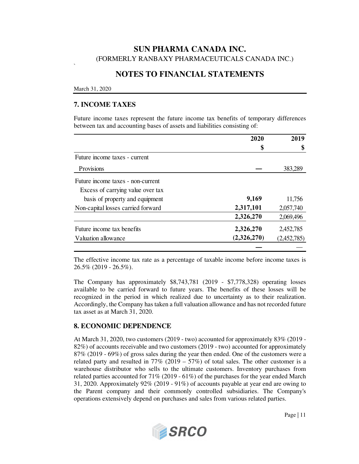### **NOTES TO FINANCIAL STATEMENTS**

#### March 31, 2020

`

### **7. INCOME TAXES**

Future income taxes represent the future income tax benefits of temporary differences between tax and accounting bases of assets and liabilities consisting of:

|                                    | 2020<br>\$  | 2019<br>\$  |
|------------------------------------|-------------|-------------|
|                                    |             |             |
| Future income taxes - current      |             |             |
| Provisions                         |             | 383,289     |
| Future income taxes - non-current  |             |             |
| Excess of carrying value over tax  |             |             |
| basis of property and equipment    | 9,169       | 11,756      |
| Non-capital losses carried forward | 2,317,101   | 2,057,740   |
|                                    | 2,326,270   | 2,069,496   |
| Future income tax benefits         | 2,326,270   | 2,452,785   |
| Valuation allowance                | (2,326,270) | (2,452,785) |
|                                    |             |             |

The effective income tax rate as a percentage of taxable income before income taxes is 26.5% (2019 - 26.5%).

The Company has approximately \$8,743,781 (2019 - \$7,778,328) operating losses available to be carried forward to future years. The benefits of these losses will be recognized in the period in which realized due to uncertainty as to their realization. Accordingly, the Company has taken a full valuation allowance and has not recorded future tax asset as at March 31, 2020.

#### **8. ECONOMIC DEPENDENCE**

At March 31, 2020, two customers (2019 - two) accounted for approximately 83% (2019 - 82%) of accounts receivable and two customers (2019 - two) accounted for approximately 87% (2019 - 69%) of gross sales during the year then ended. One of the customers were a related party and resulted in  $77\%$  (2019 –  $57\%$ ) of total sales. The other customer is a warehouse distributor who sells to the ultimate customers. Inventory purchases from related parties accounted for 71% (2019 - 61%) of the purchases for the year ended March 31, 2020. Approximately 92% (2019 - 91%) of accounts payable at year end are owing to the Parent company and their commonly controlled subsidiaries. The Company's operations extensively depend on purchases and sales from various related parties.

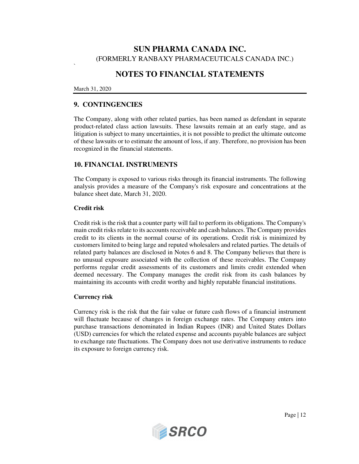## **NOTES TO FINANCIAL STATEMENTS**

#### March 31, 2020

`

### **9. CONTINGENCIES**

The Company, along with other related parties, has been named as defendant in separate product-related class action lawsuits. These lawsuits remain at an early stage, and as litigation is subject to many uncertainties, it is not possible to predict the ultimate outcome of these lawsuits or to estimate the amount of loss, if any. Therefore, no provision has been recognized in the financial statements.

### **10. FINANCIAL INSTRUMENTS**

The Company is exposed to various risks through its financial instruments. The following analysis provides a measure of the Company's risk exposure and concentrations at the balance sheet date, March 31, 2020.

#### **Credit risk**

Credit risk is the risk that a counter party will fail to perform its obligations. The Company's main credit risks relate to its accounts receivable and cash balances. The Company provides credit to its clients in the normal course of its operations. Credit risk is minimized by customers limited to being large and reputed wholesalers and related parties. The details of related party balances are disclosed in Notes 6 and 8. The Company believes that there is no unusual exposure associated with the collection of these receivables. The Company performs regular credit assessments of its customers and limits credit extended when deemed necessary. The Company manages the credit risk from its cash balances by maintaining its accounts with credit worthy and highly reputable financial institutions.

#### **Currency risk**

Currency risk is the risk that the fair value or future cash flows of a financial instrument will fluctuate because of changes in foreign exchange rates. The Company enters into purchase transactions denominated in Indian Rupees (INR) and United States Dollars (USD) currencies for which the related expense and accounts payable balances are subject to exchange rate fluctuations. The Company does not use derivative instruments to reduce its exposure to foreign currency risk.